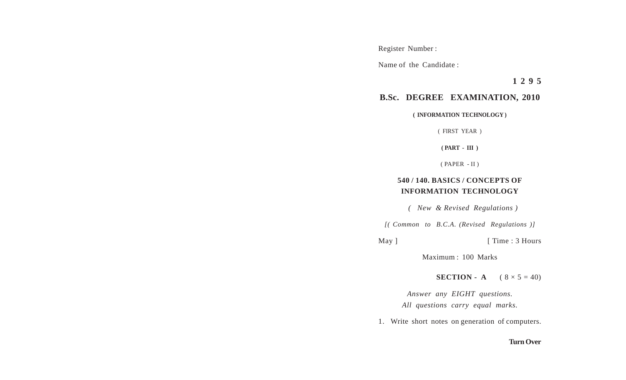Register Number :

Name of the Candidate :

**1 2 9 5**

## **B.Sc. DEGREE EXAMINATION, 2010**

**( INFORMATION TECHNOLOGY )**

( FIRST YEAR )

**( PART - III )**

( PAPER - II )

## **540 / 140. BASICS / CONCEPTS OF INFORMATION TECHNOLOGY**

 *( New & Revised Regulations )*

*[( Common to B.C.A. (Revised Regulations )]*

May ] [ Time : 3 Hours

Maximum : 100 Marks

**SECTION - A**  $(8 \times 5 = 40)$ 

*Answer any EIGHT questions. All questions carry equal marks.*

1. Write short notes on generation of computers.

## **Turn Over**